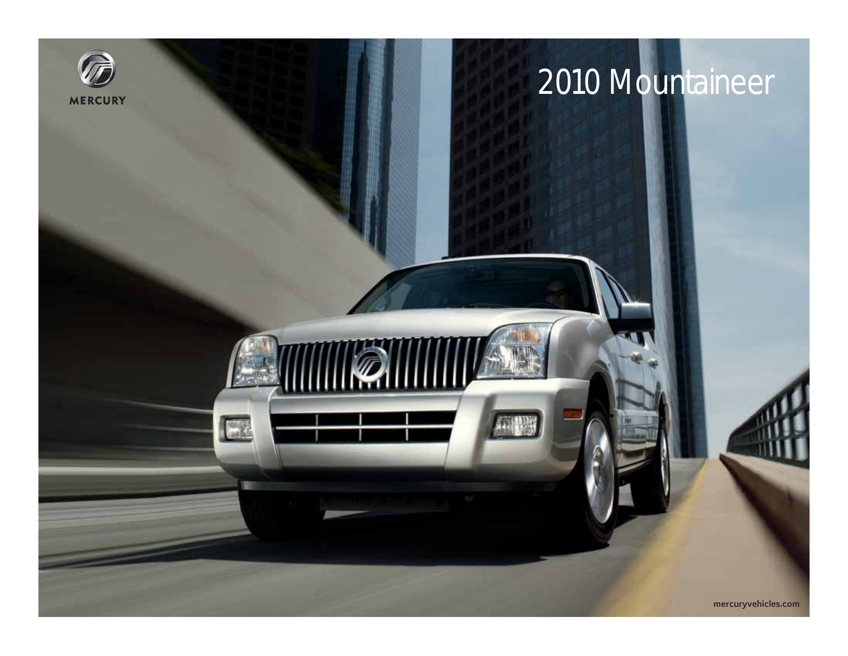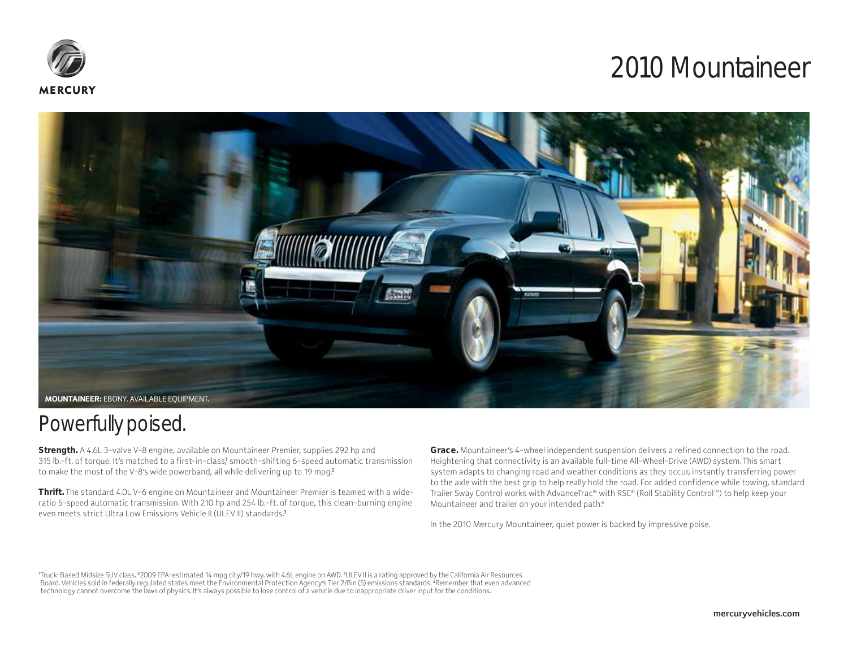



### Powerfully poised.

**Strength.** A 4.6L 3-valve V-8 engine, available on Mountaineer Premier, supplies 292 hp and 315 lb.-ft. of torque. It's matched to a first-in-class,' smooth-shifting 6-speed automatic transmission to make the most of the V-8's wide powerband, all while delivering up to 19 mpg.<sup>2</sup>

**Thrift.** The standard 4.0L V-6 engine on Mountaineer and Mountaineer Premier is teamed with a wideratio 5-speed automatic transmission. With 210 hp and 254 lb.-ft. of torque, this clean-burning engine even meets strict Ultra Low Emissions Vehicle II (ULEV II) standards.<sup>3</sup>

**Grace.** Mountaineer's 4-wheel independent suspension delivers a refined connection to the road. Heightening that connectivity is an available full-time All-Wheel-Drive (AWD) system. This smart system adapts to changing road and weather conditions as they occur, instantly transferring power to the axle with the best grip to help really hold the road. For added confidence while towing, standard Trailer Sway Control works with AdvanceTrac® with RSC® (Roll Stability Control™) to help keep your Mountaineer and trailer on your intended path.<sup>4</sup>

In the 2010 Mercury Mountaineer, quiet power is backed by impressive poise.

<sup>1</sup>Truck-Based Midsize SUV class. <sup>2</sup> 2009 EPA-estimated 14 mpg city/19 hwy. with 4.6L engine on AWD. <sup>3</sup> ULEV II is a rating approved by the California Air Resources Board. Vehicles sold in federally regulated states meet the Environmental Protection Agency's Tier 2/Bin (5) emissions standards. <sup>4</sup> Remember that even advanced technology cannot overcome the laws of physics. It's always possible to lose control of a vehicle due to inappropriate driver input for the conditions.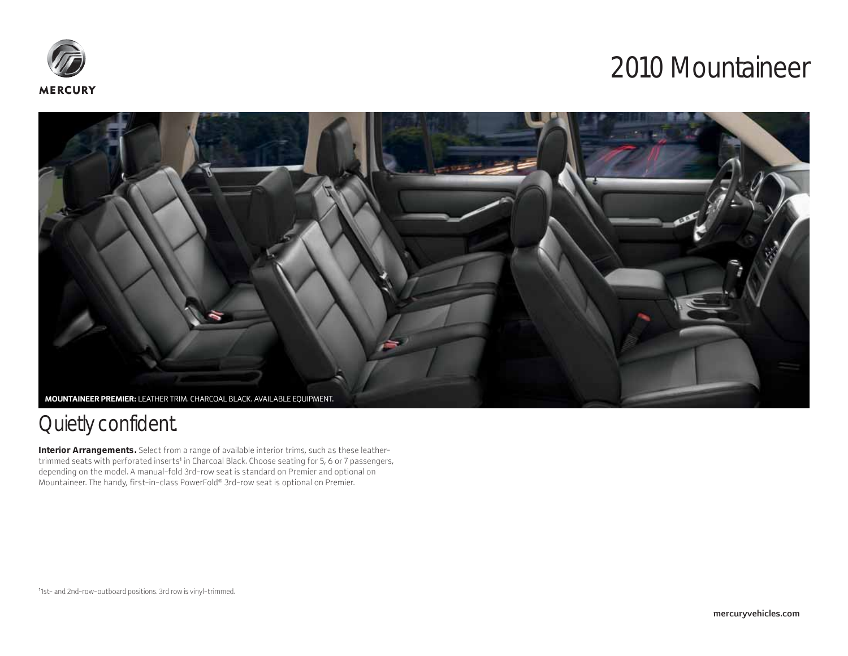



### Quietly confident.

**Interior Arrangements.** Select from a range of available interior trims, such as these leathertrimmed seats with perforated inserts<sup>1</sup> in Charcoal Black. Choose seating for 5, 6 or 7 passengers, depending on the model. A manual-fold 3rd-row seat is standard on Premier and optional on Mountaineer. The handy, first-in-class PowerFold® 3rd-row seat is optional on Premier.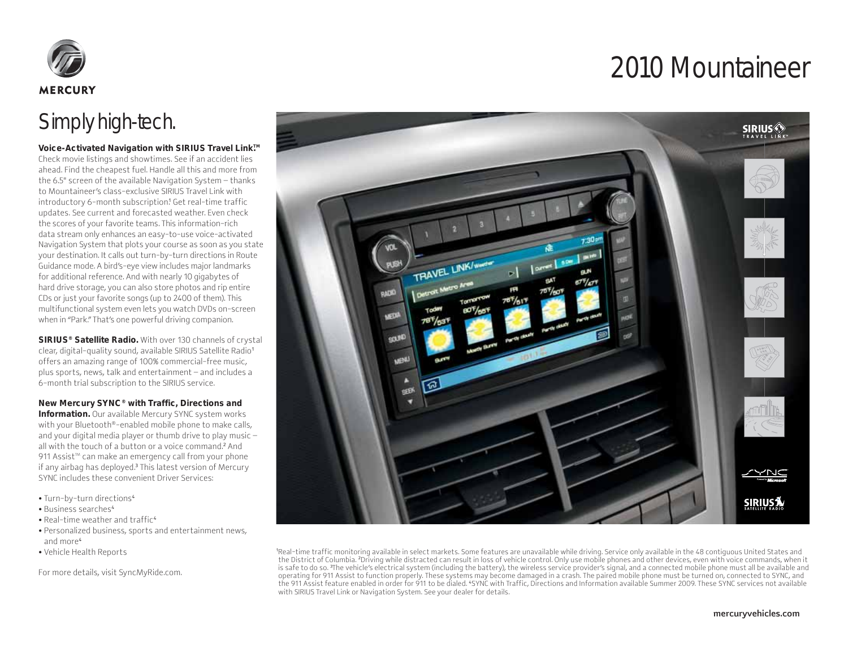

### Simply high-tech.

### Voice-Activated Navigation with SIRIUS Travel Link.<sup>™</sup>

Check movie listings and showtimes. See if an accident lies ahead. Find the cheapest fuel. Handle all this and more from the 6.5" screen of the available Navigation System – thanks to Mountaineer's class-exclusive SIRIUS Travel Link with introductory 6-month subscription.<sup>1</sup> Get real-time traffic updates. See current and forecasted weather. Even check the scores of your favorite teams. This information-rich data stream only enhances an easy-to-use voice-activated Navigation System that plots your course as soon as you state your destination. It calls out turn-by-turn directions in Route Guidance mode. A bird's-eye view includes major landmarks for additional reference. And with nearly 10 gigabytes of hard drive storage, you can also store photos and rip entire CDs or just your favorite songs (up to 2400 of them). This multifunctional system even lets you watch DVDs on-screen when in "Park." That's one powerful driving companion.

**SIRIUS® Satellite Radio.** With over 130 channels of crystal clear, digital-quality sound, available SIRIUS Satellite Radio<sup>1</sup> offers an amazing range of 100% commercial-free music, plus sports, news, talk and entertainment – and includes a 6-month trial subscription to the SIRIUS service.

**New Mercury SYNC® with Traffic, Directions and** 

**Information.** Our available Mercury SYNC system works with your Bluetooth®-enabled mobile phone to make calls, and your digital media player or thumb drive to play music – all with the touch of a button or a voice command.<sup>2</sup> And 911 Assist<sup>™</sup> can make an emergency call from your phone if any airbag has deployed.<sup>3</sup> This latest version of Mercury SYNC includes these convenient Driver Services:

- Turn-by-turn directions<sup>4</sup>
- Business searches<sup>4</sup>
- Real-time weather and traffic<sup>4</sup>
- Personalized business, sports and entertainment news, and more<sup>4</sup>
- Vehicle Health Reports

For more details, visit SyncMyRide.com.



1 Real-time traffic monitoring available in select markets. Some features are unavailable while driving. Service only available in the 48 contiguous United States and the District of Columbia. <sup>2</sup>Driving while distracted can result in loss of vehicle control. Only use mobile phones and other devices, even with voice commands, when it<br>is safe to do so. <sup>3</sup>The vehicle's electrical system operating for 911 Assist to function properly. These systems may become damaged in a crash. The paired mobile phone must be turned on, connected to SYNC, and the 911 Assist feature enabled in order for 911 to be dialed. <sup>4</sup>SYNC with Traffic, Directions and Information available Summer 2009. These SYNC services not available with SIRIUS Travel Link or Navigation System. See your dealer for details.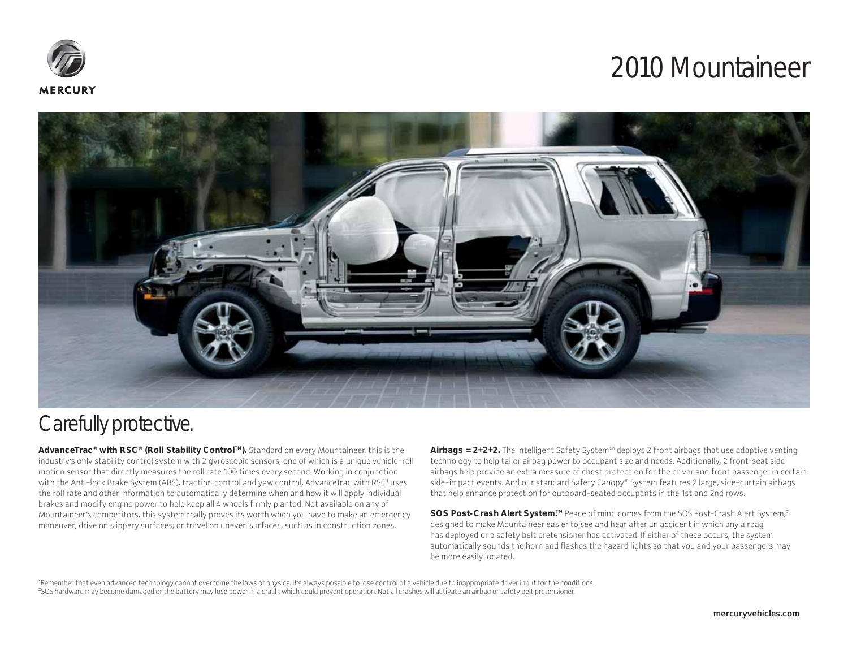



### Carefully protective.

AdvanceTrac® with RSC® (Roll Stability Control™). Standard on every Mountaineer, this is the industry's only stability control system with 2 gyroscopic sensors, one of which is a unique vehicle-roll motion sensor that directly measures the roll rate 100 times every second. Working in conjunction with the Anti-lock Brake System (ABS), traction control and yaw control, AdvanceTrac with RSC<sup>1</sup> uses the roll rate and other information to automatically determine when and how it will apply individual brakes and modify engine power to help keep all 4 wheels firmly planted. Not available on any of Mountaineer's competitors, this system really proves its worth when you have to make an emergency maneuver; drive on slippery surfaces; or travel on uneven surfaces, such as in construction zones.

**Airbags = 2+2+2.** The Intelligent Safety System™ deploys 2 front airbags that use adaptive venting technology to help tailor airbag power to occupant size and needs. Additionally, 2 front-seat side airbags help provide an extra measure of chest protection for the driver and front passenger in certain side-impact events. And our standard Safety Canopy® System features 2 large, side-curtain airbags that help enhance protection for outboard-seated occupants in the 1st and 2nd rows.

**SOS Post-Crash Alert System.™** Peace of mind comes from the SOS Post-Crash Alert System,<sup>2</sup> designed to make Mountaineer easier to see and hear after an accident in which any airbag has deployed or a safety belt pretensioner has activated. If either of these occurs, the system automatically sounds the horn and flashes the hazard lights so that you and your passengers may be more easily located.

1 Remember that even advanced technology cannot overcome the laws of physics. It's always possible to lose control of a vehicle due to inappropriate driver input for the conditions. 2SOS hardware may become damaged or the battery may lose power in a crash, which could prevent operation. Not all crashes will activate an airbag or safety belt pretensioner.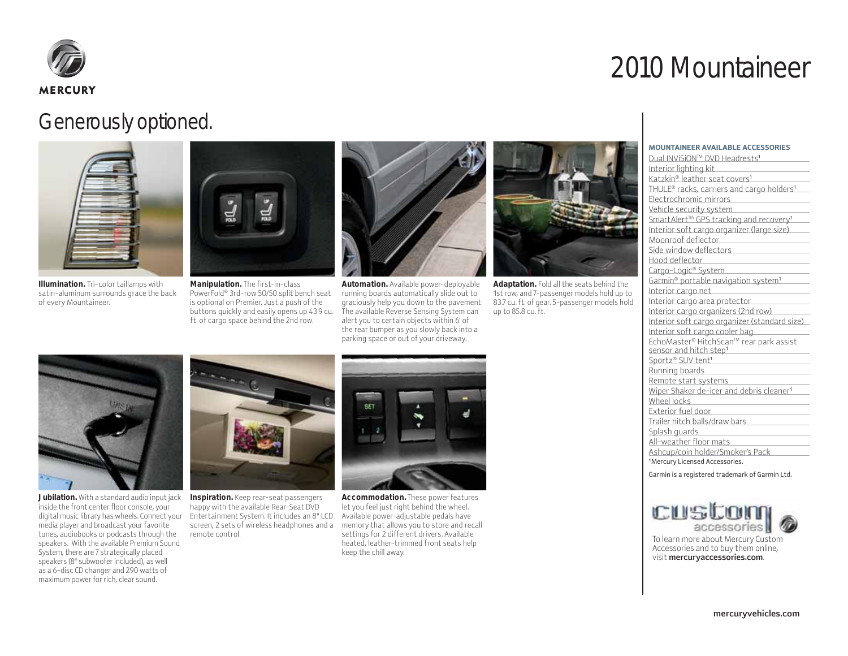

### Generously optioned.



**Illumination.** Tri-color taillamps with satin-aluminum surrounds grace the back of every Mountaineer.



**Manipulation.** The first-in-class PowerFold® 3rd-row 50/50 split bench seat is optional on Premier. Just a push of the buttons quickly and easily opens up 43.9 cu. ft. of cargo space behind the 2nd row.



**Automation.** Available power-deployable running boards automatically slide out to graciously help you down to the pavement. The available Reverse Sensing System can alert you to certain objects within 6' of the rear bumper as you slowly back into a parking space or out of your driveway.



**Adaptation.** Fold all the seats behind the 1st row, and 7-passenger models hold up to 83.7 cu. ft. of gear. 5-passenger models hold up to 85.8 cu. ft.



**Jubilation.** With a standard audio input jack inside the front center floor console, your digital music library has wheels. Connect your media player and broadcast your favorite tunes, audiobooks or podcasts through the speakers. With the available Premium Sound System, there are 7 strategically placed speakers (8" subwoofer included), as well as a 6-disc CD changer and 290 watts of maximum power for rich, clear sound.



**Inspiration.** Keep rear-seat passengers happy with the available Rear-Seat DVD Entertainment System. It includes an 8" LCD screen, 2 sets of wireless headphones and a remote control.



**Accommodation.** These power features let you feel just right behind the wheel. Available power-adjustable pedals have memory that allows you to store and recall settings for 2 different drivers. Available heated, leather-trimmed front seats help keep the chill away.



**MOUNTAINEER AVAILABLE ACCESSORIES**

Garmin is a registered trademark of Garmin Ltd.



Accessories and to buy them online, visit mercuryaccessories.com.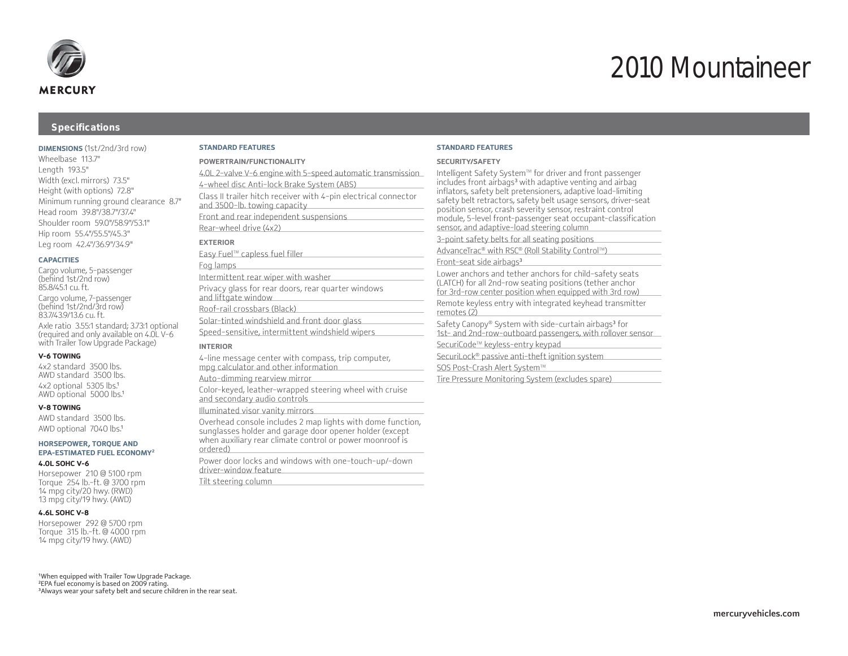

#### **Specifications**

**DIMENSIONS** (1st/2nd/3rd row) Wheelbase 113.7" Length 193.5" Width (excl. mirrors) 73.5" Height (with options) 72.8" Minimum running ground clearance 8.7" Head room 39.8"/38.7"/37.4" Shoulder room 59.0"/58.9"/53.1" Hip room 55.4"/55.5"/45.3" Leg room 42.4"/36.9"/34.9"

#### **CAPACITIES**

Cargo volume, 5-passenger (behind 1st/2nd row) 85.8/45.1 cu. ft.

Cargo volume, 7-passenger (behind 1st/2nd/3rd row) 83.7/43.9/13.6 cu. ft.

Axle ratio 3.55:1 standard; 3.73:1 optional (required and only available on 4.0L V-6 with Trailer Tow Upgrade Package)

#### **V-6 TOWING**

4x2 standard 3500 lbs. AWD standard 3500 lbs. 4x2 optional 5305 lbs.<sup>1</sup> AWD optional 5000 lbs.<sup>1</sup>

#### **V-8 TOWING**

AWD standard 3500 lbs. AWD optional 7040 lbs.<sup>1</sup>

#### **HORSEPOWER, TORQUE AND EPA-ESTIMATED FUEL ECONOMY2**

#### **4.0L SOHC V-6**

Horsepower 210 @ 5100 rpm Torque 254 lb.-ft. @ 3700 rpm 14 mpg city/20 hwy. (RWD) 13 mpg city/19 hwy. (AWD)

#### **4.6L SOHC V-8**

Horsepower 292 @ 5700 rpm Torque 315 lb.-ft. @ 4000 rpm 14 mpg city/19 hwy. (AWD)

### **STANDARD FEATURES**

**POWERTRAIN/FUNCTIONALITY** 4.0L 2-valve V-6 engine with 5-speed automatic transmission 4-wheel disc Anti-lock Brake System (ABS)

Class II trailer hitch receiver with 4-pin electrical connector and 3500-lb. towing capacity

Front and rear independent suspensions Rear-wheel drive (4x2)

#### **EXTERIOR**

Easy Fuel™ capless fuel filler Fog lamps Intermittent rear wiper with washer Privacy glass for rear doors, rear quarter windows and liftgate window Roof-rail crossbars (Black) Solar-tinted windshield and front door glass Speed-sensitive, intermittent windshield wipers **INTERIOR** 4-line message center with compass, trip computer, mpg calculator and other information

#### Auto-dimming rearview mirror

Color-keyed, leather-wrapped steering wheel with cruise and secondary audio controls

Illuminated visor vanity mirrors

Overhead console includes 2 map lights with dome function, sunglasses holder and garage door opener holder (except when auxiliary rear climate control or power moonroof is ordered)

Power door locks and windows with one-touch-up/-down driver-window feature Tilt steering column

#### **STANDARD FEATURES**

#### **SECURITY/SAFETY**

Intelligent Safety System™ for driver and front passenger includes front airbags<sup>3</sup> with adaptive venting and airbag inflators, safety belt pretensioners, adaptive load-limiting safety belt retractors, safety belt usage sensors, driver-seat position sensor, crash severity sensor, restraint control module, 5-level front-passenger seat occupant-classification sensor, and adaptive-load steering column

3-point safety belts for all seating positions

AdvanceTrac® with RSC® (Roll Stability Control™)

#### Front-seat side airbags<sup>3</sup>

Lower anchors and tether anchors for child-safety seats (LATCH) for all 2nd-row seating positions (tether anchor for 3rd-row center position when equipped with 3rd row) Remote keyless entry with integrated keyhead transmitter remotes (2)

Safety Canopy® System with side-curtain airbags<sup>3</sup> for

1st- and 2nd-row-outboard passengers, with rollover sensor

SecuriCode™ keyless-entry keypad

SecuriLock® passive anti-theft ignition system

SOS Post-Crash Alert System™

Tire Pressure Monitoring System (excludes spare)

<sup>1</sup> When equipped with Trailer Tow Upgrade Package. <sup>2</sup>EPA fuel economy is based on 2009 rating. <sup>3</sup>Always wear your safety belt and secure children in the rear seat.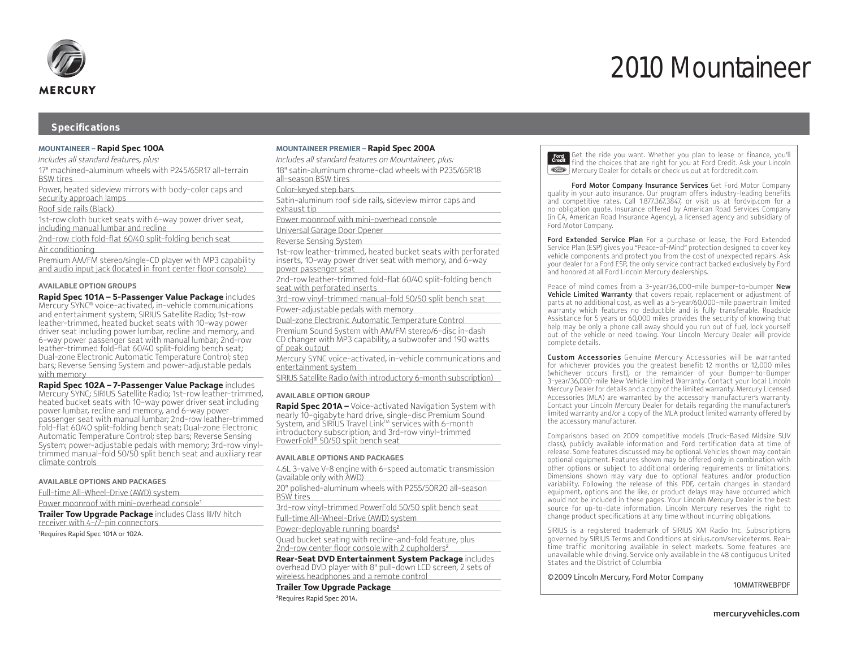

#### **Specifications**

#### **MOUNTAINEER – Rapid Spec 100A**

*Includes all standard features, plus:* 17" machined-aluminum wheels with P245/65R17 all-terrain

BSW tires Power, heated sideview mirrors with body-color caps and security approach lamps

Roof side rails (Black)

1st-row cloth bucket seats with 6-way power driver seat,

including manual lumbar and recline 2nd-row cloth fold-flat 60/40 split-folding bench seat

Air conditioning

Premium AM/FM stereo/single-CD player with MP3 capability and audio input jack (located in front center floor console)

**AVAILABLE OPTION GROUPS**

**Rapid Spec 101A – 5-Passenger Value Package** includes Mercury SYNC® voice-activated, in-vehicle communications and entertainment system; SIRIUS Satellite Radio; 1st-row leather-trimmed, heated bucket seats with 10-way power driver seat including power lumbar, recline and memory, and 6-way power passenger seat with manual lumbar; 2nd-row leather-trimmed fold-flat 60/40 split-folding bench seat; Dual-zone Electronic Automatic Temperature Control; step bars; Reverse Sensing System and power-adjustable pedals with memory

#### **Rapid Spec 102A – 7-Passenger Value Package** includes Mercury SYNC; SIRIUS Satellite Radio; 1st-row leather-trimmed,

heated bucket seats with 10-way power driver seat including power lumbar, recline and memory, and 6-way power passenger seat with manual lumbar; 2nd-row leather-trimmed fold-flat 60/40 split-folding bench seat; Dual-zone Electronic Automatic Temperature Control; step bars; Reverse Sensing System; power-adjustable pedals with memory; 3rd-row vinyltrimmed manual-fold 50/50 split bench seat and auxiliary rear climate controls

#### **AVAILABLE OPTIONS AND PACKAGES**

Full-time All-Wheel-Drive (AWD) system

Power moonroof with mini-overhead console<sup>1</sup>

**Trailer Tow Upgrade Package** includes Class III/IV hitch

receiver with 4-/7-pin connectors

1 Requires Rapid Spec 101A or 102A.

#### **MOUNTAINEER PREMIER – Rapid Spec 200A**

*Includes all standard features on Mountaineer, plus:* 18" satin-aluminum chrome-clad wheels with P235/65R18 all-season BSW tires Color-keyed step bars Satin-aluminum roof side rails, sideview mirror caps and exhaust tip Power moonroof with mini-overhead console Universal Garage Door Opener Reverse Sensing System

1st-row leather-trimmed, heated bucket seats with perforated inserts, 10-way power driver seat with memory, and 6-way power passenger seat

2nd-row leather-trimmed fold-flat 60/40 split-folding bench seat with perforated inserts

3rd-row vinyl-trimmed manual-fold 50/50 split bench seat Power-adjustable pedals with memory

Dual-zone Electronic Automatic Temperature Control

Premium Sound System with AM/FM stereo/6-disc in-dash CD changer with MP3 capability, a subwoofer and 190 watts of peak output

Mercury SYNC voice-activated, in-vehicle communications and entertainment system

SIRIUS Satellite Radio (with introductory 6-month subscription)

#### **AVAILABLE OPTION GROUP**

**Rapid Spec 201A –** Voice-activated Navigation System with nearly 10-gigabyte hard drive, single-disc Premium Sound nearly to gigabyte hard arrvey single alse Fremiam sourch System, and SIRIUS Travel Link™ services with 6-month introductory subscription; and 3rd-row vinyl-trimmed PowerFold® 50/50 split bench seat

#### **AVAILABLE OPTIONS AND PACKAGES**

4.6L 3-valve V-8 engine with 6-speed automatic transmission (available only with AWD)

20" polished-aluminum wheels with P255/50R20 all-season BSW tires

3rd-row vinyl-trimmed PowerFold 50/50 split bench seat Full-time All-Wheel-Drive (AWD) system

Power-deployable running boards<sup>2</sup>

Quad bucket seating with recline-and-fold feature, plus 2nd-row center floor console with 2 cupholders<sup>2</sup>

**Rear-Seat DVD Entertainment System Package** includes overhead DVD player with 8" pull-down LCD screen, 2 sets of wireless headphones and a remote control

#### **Trailer Tow Upgrade Package**

<sup>2</sup>Requires Rapid Spec 201A.

Get the ride you want. Whether you plan to lease or finance, you'll find the choices that are right for you at Ford Credit. Ask your Lincoln Mercury Dealer for details or check us out at fordcredit.com.

Ford Motor Company Insurance Services Get Ford Motor Company quality in your auto insurance. Our program offers industry-leading benefits and competitive rates. Call 1.877.367.3847, or visit us at fordvip.com for a no-obligation quote. Insurance offered by American Road Services Company (in CA, American Road Insurance Agency), a licensed agency and subsidiary of Ford Motor Company.

Ford Extended Service Plan For a purchase or lease, the Ford Extended Service Plan (ESP) gives you "Peace-of-Mind" protection designed to cover key vehicle components and protect you from the cost of unexpected repairs. Ask your dealer for a Ford ESP, the only service contract backed exclusively by Ford and honored at all Ford Lincoln Mercury dealerships.

Peace of mind comes from a 3-year/36,000-mile bumper-to-bumper New Vehicle Limited Warranty that covers repair, replacement or adjustment of parts at no additional cost, as well as a 5-year/60,000-mile powertrain limited warranty which features no deductible and is fully transferable. Roadside Assistance for 5 years or 60,000 miles provides the security of knowing that help may be only a phone call away should you run out of fuel, lock yourself out of the vehicle or need towing. Your Lincoln Mercury Dealer will provide complete details.

Custom Accessories Genuine Mercury Accessories will be warranted for whichever provides you the greatest benefit: 12 months or 12,000 miles (whichever occurs first), or the remainder of your Bumper-to-Bumper 3-year/36,000-mile New Vehicle Limited Warranty. Contact your local Lincoln Mercury Dealer for details and a copy of the limited warranty. Mercury Licensed Accessories (MLA) are warranted by the accessory manufacturer's warranty. Contact your Lincoln Mercury Dealer for details regarding the manufacturer's limited warranty and/or a copy of the MLA product limited warranty offered by the accessory manufacturer.

Comparisons based on 2009 competitive models (Truck-Based Midsize SUV class), publicly available information and Ford certification data at time of release. Some features discussed may be optional. Vehicles shown may contain optional equipment. Features shown may be offered only in combination with other options or subject to additional ordering requirements or limitations. Dimensions shown may vary due to optional features and/or production variability. Following the release of this PDF, certain changes in standard equipment, options and the like, or product delays may have occurred which would not be included in these pages. Your Lincoln Mercury Dealer is the best source for up-to-date information. Lincoln Mercury reserves the right to change product specifications at any time without incurring obligations.

SIRIUS is a registered trademark of SIRIUS XM Radio Inc. Subscriptions governed by SIRIUS Terms and Conditions at sirius.com/serviceterms. Realtime traffic monitoring available in select markets. Some features are unavailable while driving. Service only available in the 48 contiguous United States and the District of Columbia

©2009 Lincoln Mercury, Ford Motor Company

10MMTRWEBPDF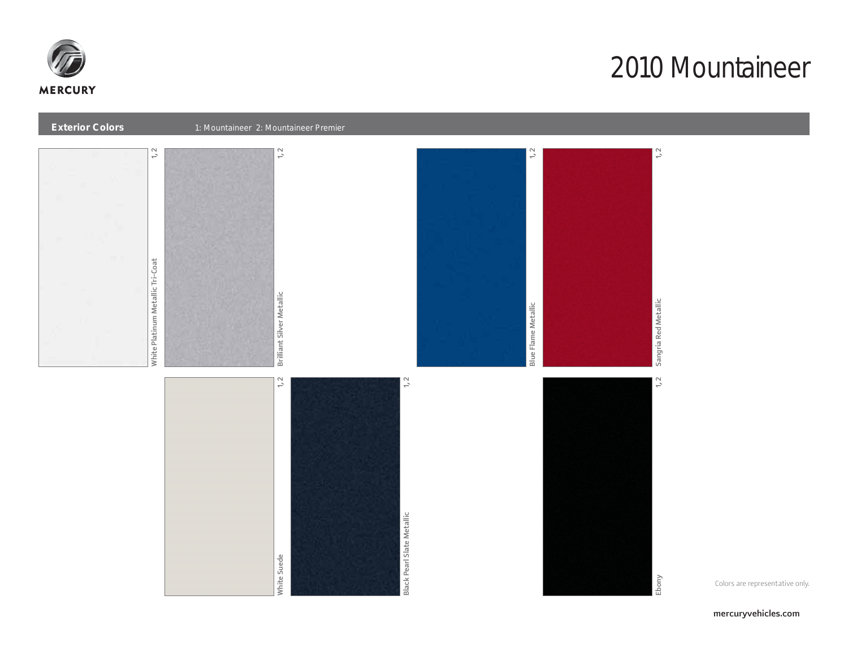



Colors are representative only.

mercuryvehicles.com